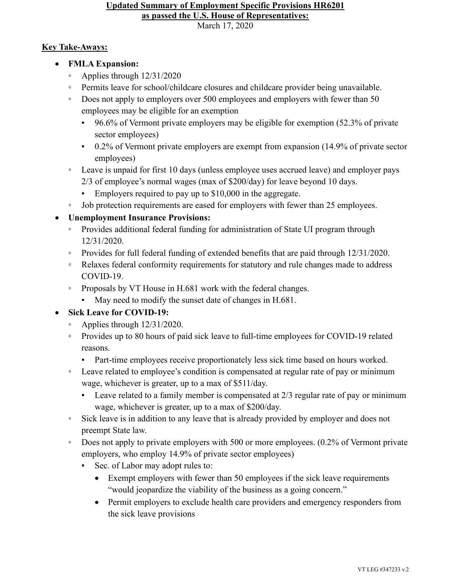## **Updated Summary of Employment Specific Provisions HR6201 as passed the U.S. House of Representatives:**

March 17, 2020

## **Key Take-Aways:**

- **FMLA Expansion:**
	- Applies through 12/31/2020
	- Permits leave for school/childcare closures and childcare provider being unavailable.
	- Does not apply to employers over 500 employees and employers with fewer than 50 employees may be eligible for an exemption
		- 96.6% of Vermont private employers may be eligible for exemption (52.3% of private sector employees)
		- 0.2% of Vermont private employers are exempt from expansion (14.9% of private sector employees)
	- Leave is unpaid for first 10 days (unless employee uses accrued leave) and employer pays 2/3 of employee's normal wages (max of \$200/day) for leave beyond 10 days.
		- Employers required to pay up to \$10,000 in the aggregate.
	- Job protection requirements are eased for employers with fewer than 25 employees.

## • **Unemployment Insurance Provisions:**

- Provides additional federal funding for administration of State UI program through 12/31/2020.
- Provides for full federal funding of extended benefits that are paid through 12/31/2020.
- Relaxes federal conformity requirements for statutory and rule changes made to address COVID-19.
- Proposals by VT House in H.681 work with the federal changes.
	- May need to modify the sunset date of changes in H.681.

## • **Sick Leave for COVID-19:**

- Applies through 12/31/2020.
- Provides up to 80 hours of paid sick leave to full-time employees for COVID-19 related reasons.
	- Part-time employees receive proportionately less sick time based on hours worked.
- Leave related to employee's condition is compensated at regular rate of pay or minimum wage, whichever is greater, up to a max of \$511/day.
	- $\blacksquare$  Leave related to a family member is compensated at 2/3 regular rate of pay or minimum wage, whichever is greater, up to a max of \$200/day.
- Sick leave is in addition to any leave that is already provided by employer and does not preempt State law.
- Does not apply to private employers with 500 or more employees. (0.2% of Vermont private employers, who employ 14.9% of private sector employees)
	- Sec. of Labor may adopt rules to:
		- Exempt employers with fewer than 50 employees if the sick leave requirements "would jeopardize the viability of the business as a going concern."
		- Permit employers to exclude health care providers and emergency responders from the sick leave provisions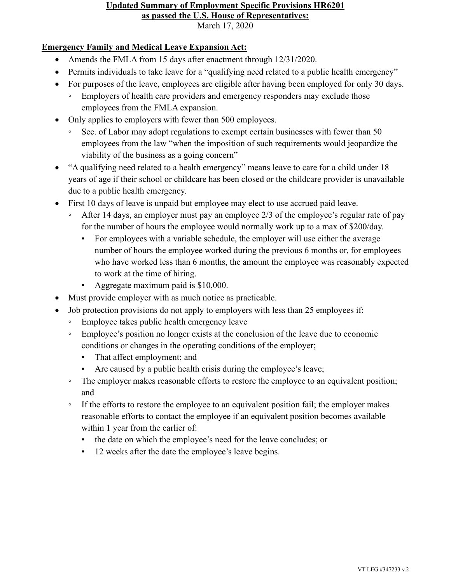### **Updated Summary of Employment Specific Provisions HR6201 as passed the U.S. House of Representatives:**

March 17, 2020

### **Emergency Family and Medical Leave Expansion Act:**

- Amends the FMLA from 15 days after enactment through  $12/31/2020$ .
- Permits individuals to take leave for a "qualifying need related to a public health emergency"
- For purposes of the leave, employees are eligible after having been employed for only 30 days.
	- Employers of health care providers and emergency responders may exclude those employees from the FMLA expansion.
- Only applies to employers with fewer than 500 employees.
	- Sec. of Labor may adopt regulations to exempt certain businesses with fewer than 50 employees from the law "when the imposition of such requirements would jeopardize the viability of the business as a going concern"
- "A qualifying need related to a health emergency" means leave to care for a child under 18 years of age if their school or childcare has been closed or the childcare provider is unavailable due to a public health emergency.
- First 10 days of leave is unpaid but employee may elect to use accrued paid leave.
	- After 14 days, an employer must pay an employee 2/3 of the employee's regular rate of pay for the number of hours the employee would normally work up to a max of \$200/day.
		- For employees with a variable schedule, the employer will use either the average number of hours the employee worked during the previous 6 months or, for employees who have worked less than 6 months, the amount the employee was reasonably expected to work at the time of hiring.
		- Aggregate maximum paid is \$10,000.
- Must provide employer with as much notice as practicable.
- Job protection provisions do not apply to employers with less than 25 employees if:
	- Employee takes public health emergency leave
	- Employee's position no longer exists at the conclusion of the leave due to economic conditions or changes in the operating conditions of the employer;
		- That affect employment; and
		- Are caused by a public health crisis during the employee's leave;
	- The employer makes reasonable efforts to restore the employee to an equivalent position; and
	- If the efforts to restore the employee to an equivalent position fail; the employer makes reasonable efforts to contact the employee if an equivalent position becomes available within 1 year from the earlier of:
		- the date on which the employee's need for the leave concludes; or
		- 12 weeks after the date the employee's leave begins.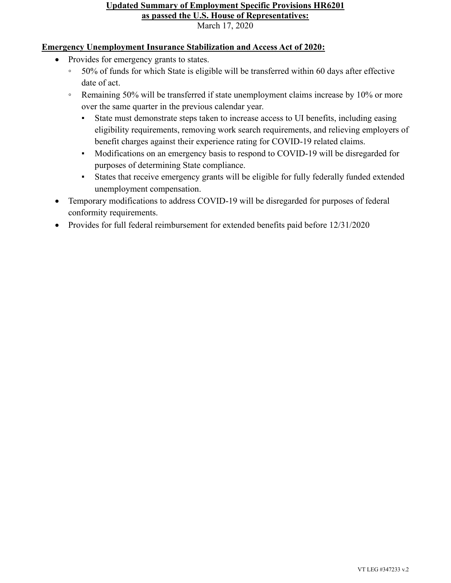#### **Updated Summary of Employment Specific Provisions HR6201 as passed the U.S. House of Representatives:** March 17, 2020

#### **Emergency Unemployment Insurance Stabilization and Access Act of 2020:**

- Provides for emergency grants to states.
	- 50% of funds for which State is eligible will be transferred within 60 days after effective date of act.
	- Remaining 50% will be transferred if state unemployment claims increase by 10% or more over the same quarter in the previous calendar year.
		- State must demonstrate steps taken to increase access to UI benefits, including easing eligibility requirements, removing work search requirements, and relieving employers of benefit charges against their experience rating for COVID-19 related claims.
		- Modifications on an emergency basis to respond to COVID-19 will be disregarded for purposes of determining State compliance.
		- States that receive emergency grants will be eligible for fully federally funded extended unemployment compensation.
- Temporary modifications to address COVID-19 will be disregarded for purposes of federal conformity requirements.
- Provides for full federal reimbursement for extended benefits paid before 12/31/2020